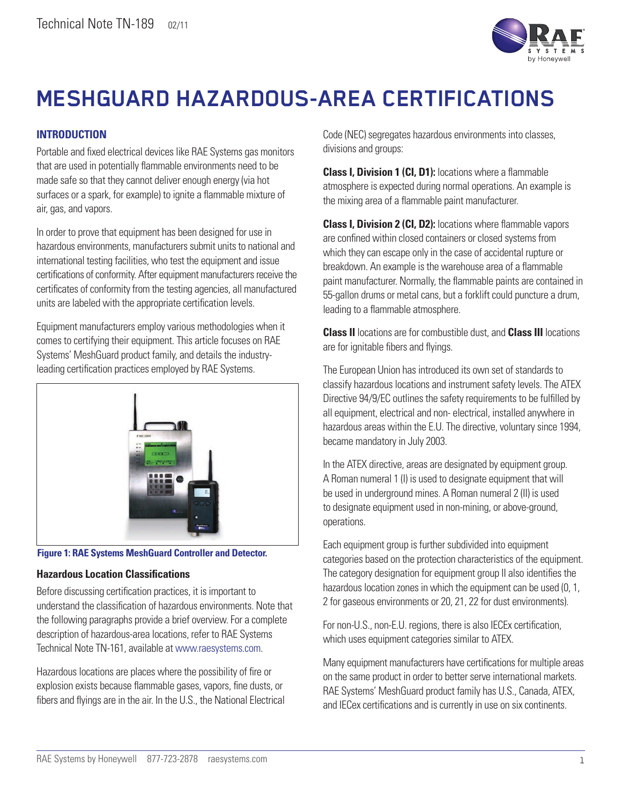

# **MESHGUARD HAZARDOUS-AREA CERTIFICATIONS**

## **INTRODUCTION**

Portable and fixed electrical devices like RAE Systems gas monitors that are used in potentially flammable environments need to be made safe so that they cannot deliver enough energy (via hot surfaces or a spark, for example) to ignite a flammable mixture of air, gas, and vapors.

In order to prove that equipment has been designed for use in hazardous environments, manufacturers submit units to national and international testing facilities, who test the equipment and issue certifications of conformity. After equipment manufacturers receive the certificates of conformity from the testing agencies, all manufactured units are labeled with the appropriate certification levels.

Equipment manufacturers employ various methodologies when it comes to certifying their equipment. This article focuses on RAE Systems' MeshGuard product family, and details the industryleading certification practices employed by RAE Systems.



**Figure 1: RAE Systems MeshGuard Controller and Detector.**

#### **Hazardous Location Classifications**

Before discussing certification practices, it is important to understand the classification of hazardous environments. Note that the following paragraphs provide a brief overview. For a complete description of hazardous-area locations, refer to RAE Systems Technical Note TN-161, available at [www.raesystems.com.](http://www.raesystems.com)

Hazardous locations are places where the possibility of fire or explosion exists because flammable gases, vapors, fine dusts, or fibers and flyings are in the air. In the U.S., the National Electrical Code (NEC) segregates hazardous environments into classes, divisions and groups:

**Class I, Division 1 (CI, D1):** locations where a flammable atmosphere is expected during normal operations. An example is the mixing area of a flammable paint manufacturer.

**Class I, Division 2 (CI, D2):** locations where flammable vapors are confined within closed containers or closed systems from which they can escape only in the case of accidental rupture or breakdown. An example is the warehouse area of a flammable paint manufacturer. Normally, the flammable paints are contained in 55-gallon drums or metal cans, but a forklift could puncture a drum, leading to a flammable atmosphere.

**Class II** locations are for combustible dust, and **Class III** locations are for ignitable fibers and flyings.

The European Union has introduced its own set of standards to classify hazardous locations and instrument safety levels. The ATEX Directive 94/9/EC outlines the safety requirements to be fulfilled by all equipment, electrical and non- electrical, installed anywhere in hazardous areas within the E.U. The directive, voluntary since 1994, became mandatory in July 2003.

In the ATEX directive, areas are designated by equipment group. A Roman numeral 1 (I) is used to designate equipment that will be used in underground mines. A Roman numeral 2 (II) is used to designate equipment used in non-mining, or above-ground, operations.

Each equipment group is further subdivided into equipment categories based on the protection characteristics of the equipment. The category designation for equipment group II also identifies the hazardous location zones in which the equipment can be used (0, 1, 2 for gaseous environments or 20, 21, 22 for dust environments).

For non-U.S., non-E.U. regions, there is also IECEx certification, which uses equipment categories similar to ATEX.

Many equipment manufacturers have certifications for multiple areas on the same product in order to better serve international markets. RAE Systems' MeshGuard product family has U.S., Canada, ATEX, and IECex certifications and is currently in use on six continents.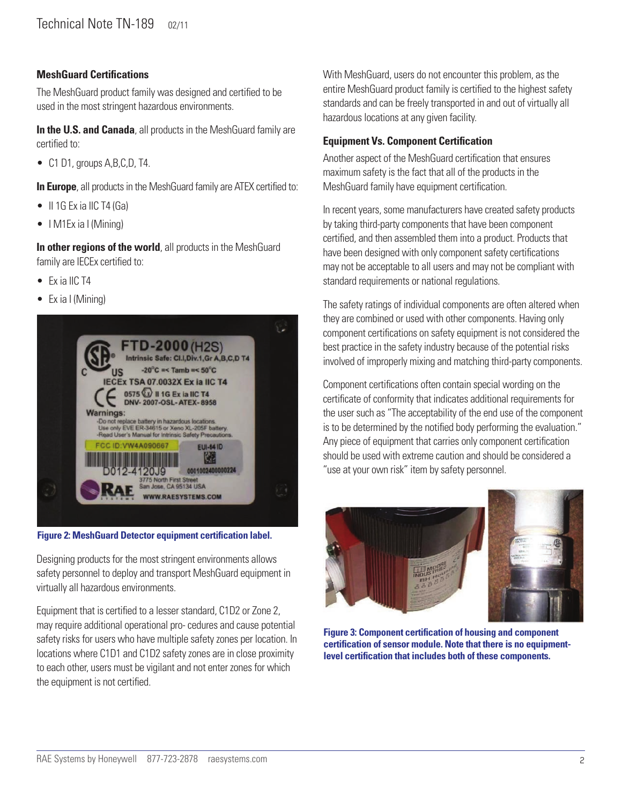## **MeshGuard Certifications**

The MeshGuard product family was designed and certified to be used in the most stringent hazardous environments.

**In the U.S. and Canada**, all products in the MeshGuard family are certified to:

• C1 D1, groups A, B, C, D, T4.

**In Europe**, all products in the MeshGuard family are ATEX certified to:

- $\bullet$  II 1G Ex ia IIC T4 (Ga)
- I M1Ex ia I (Mining)

**In other regions of the world**, all products in the MeshGuard family are IECEx certified to:

- Ex ia IIC T4
- Ex ia I (Mining)



**Figure 2: MeshGuard Detector equipment certification label.**

Designing products for the most stringent environments allows safety personnel to deploy and transport MeshGuard equipment in virtually all hazardous environments.

Equipment that is certified to a lesser standard, C1D2 or Zone 2, may require additional operational pro- cedures and cause potential safety risks for users who have multiple safety zones per location. In locations where C1D1 and C1D2 safety zones are in close proximity to each other, users must be vigilant and not enter zones for which the equipment is not certified.

With MeshGuard, users do not encounter this problem, as the entire MeshGuard product family is certified to the highest safety standards and can be freely transported in and out of virtually all hazardous locations at any given facility.

#### **Equipment Vs. Component Certification**

Another aspect of the MeshGuard certification that ensures maximum safety is the fact that all of the products in the MeshGuard family have equipment certification.

In recent years, some manufacturers have created safety products by taking third-party components that have been component certified, and then assembled them into a product. Products that have been designed with only component safety certifications may not be acceptable to all users and may not be compliant with standard requirements or national regulations.

The safety ratings of individual components are often altered when they are combined or used with other components. Having only component certifications on safety equipment is not considered the best practice in the safety industry because of the potential risks involved of improperly mixing and matching third-party components.

Component certifications often contain special wording on the certificate of conformity that indicates additional requirements for the user such as "The acceptability of the end use of the component is to be determined by the notified body performing the evaluation." Any piece of equipment that carries only component certification should be used with extreme caution and should be considered a "use at your own risk" item by safety personnel.



**Figure 3: Component certification of housing and component certification of sensor module. Note that there is no equipmentlevel certification that includes both of these components.**